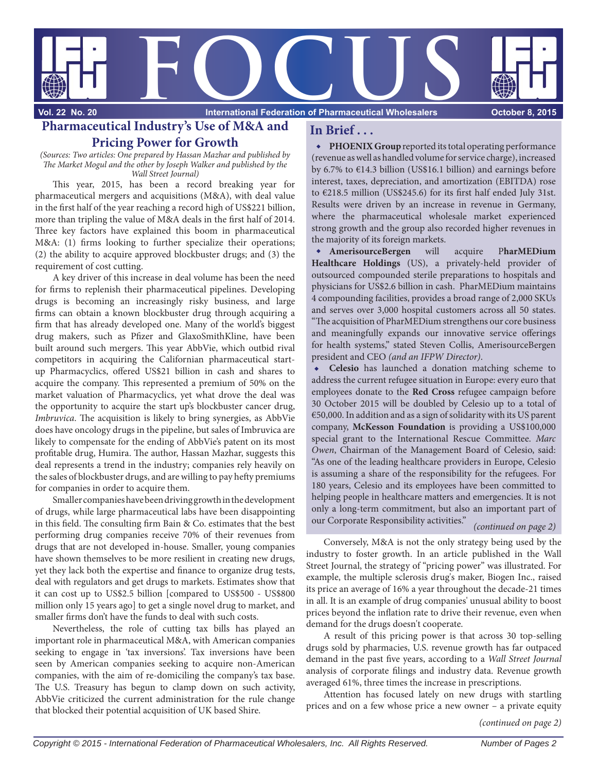

**Vol. 22 No. 20** 

**International Federation of Pharmaceutical Wholesalers Concept Concept 8, 2015** 

# **Pharmaceutical Industry's Use of M&A and Pricing Power for Growth**

(Sources: Two articles: One prepared by Hassan Mazhar and published by The Market Mogul and the other by Joseph Walker and published by the Wall Street Journal)

This year, 2015, has been a record breaking year for pharmaceutical mergers and acquisitions (M&A), with deal value in the first half of the year reaching a record high of US\$221 billion, more than tripling the value of M&A deals in the first half of 2014. Three key factors have explained this boom in pharmaceutical M&A: (1) firms looking to further specialize their operations; (2) the ability to acquire approved blockbuster drugs; and (3) the requirement of cost cutting.

A key driver of this increase in deal volume has been the need for firms to replenish their pharmaceutical pipelines. Developing drugs is becoming an increasingly risky business, and large firms can obtain a known blockbuster drug through acquiring a firm that has already developed one. Many of the world's biggest drug makers, such as Pfizer and GlaxoSmithKline, have been built around such mergers. This year AbbVie, which outbid rival competitors in acquiring the Californian pharmaceutical startup Pharmacyclics, offered US\$21 billion in cash and shares to acquire the company. This represented a premium of 50% on the market valuation of Pharmacyclics, yet what drove the deal was the opportunity to acquire the start up's blockbuster cancer drug, Imbruvica. The acquisition is likely to bring synergies, as AbbVie does have oncology drugs in the pipeline, but sales of Imbruvica are likely to compensate for the ending of AbbVie's patent on its most profitable drug, Humira. The author, Hassan Mazhar, suggests this deal represents a trend in the industry; companies rely heavily on the sales of blockbuster drugs, and are willing to pay hefty premiums for companies in order to acquire them.

Smaller companies have been driving growth in the development of drugs, while large pharmaceutical labs have been disappointing in this field. The consulting firm Bain & Co. estimates that the best performing drug companies receive 70% of their revenues from drugs that are not developed in-house. Smaller, young companies have shown themselves to be more resilient in creating new drugs, yet they lack both the expertise and finance to organize drug tests, deal with regulators and get drugs to markets. Estimates show that it can cost up to US\$2.5 billion [compared to US\$500 - US\$800 million only 15 years ago] to get a single novel drug to market, and smaller firms don't have the funds to deal with such costs.

Nevertheless, the role of cutting tax bills has played an important role in pharmaceutical M&A, with American companies seeking to engage in 'tax inversions'. Tax inversions have been seen by American companies seeking to acquire non-American companies, with the aim of re-domiciling the company's tax base. The U.S. Treasury has begun to clamp down on such activity, AbbVie criticized the current administration for the rule change that blocked their potential acquisition of UK based Shire.

## **In Brief . . .**

**PHOENIX Group** reported its total operating performance (revenue as well as handled volume for service charge), increased by 6.7% to €14.3 billion (US\$16.1 billion) and earnings before interest, taxes, depreciation, and amortization (EBITDA) rose to  $\epsilon$ 218.5 million (US\$245.6) for its first half ended July 31st. Results were driven by an increase in revenue in Germany, where the pharmaceutical wholesale market experienced strong growth and the group also recorded higher revenues in the majority of its foreign markets.

**AmerisourceBergen** will acquire P**harMEDium Healthcare Holdings** (US), a privately-held provider of outsourced compounded sterile preparations to hospitals and physicians for US\$2.6 billion in cash. PharMEDium maintains 4 compounding facilities, provides a broad range of 2,000 SKUs and serves over 3,000 hospital customers across all 50 states. "The acquisition of PharMEDium strengthens our core business and meaningfully expands our innovative service offerings for health systems," stated Steven Collis, AmerisourceBergen president and CEO (and an IFPW Director).

**Celesio** has launched a donation matching scheme to address the current refugee situation in Europe: every euro that employees donate to the **Red Cross** refugee campaign before 30 October 2015 will be doubled by Celesio up to a total of €50,000. In addition and as a sign of solidarity with its US parent company, **McKesson Foundation** is providing a US\$100,000 special grant to the International Rescue Committee. Marc Owen, Chairman of the Management Board of Celesio, said: "As one of the leading healthcare providers in Europe, Celesio is assuming a share of the responsibility for the refugees. For 180 years, Celesio and its employees have been committed to helping people in healthcare matters and emergencies. It is not only a long-term commitment, but also an important part of our Corporate Responsibility activities."

#### (continued on page 2)

Conversely, M&A is not the only strategy being used by the industry to foster growth. In an article published in the Wall Street Journal, the strategy of "pricing power" was illustrated. For example, the multiple sclerosis drug's maker, Biogen Inc., raised its price an average of 16% a year throughout the decade-21 times in all. It is an example of drug companies' unusual ability to boost prices beyond the inflation rate to drive their revenue, even when demand for the drugs doesn't cooperate.

A result of this pricing power is that across 30 top-selling drugs sold by pharmacies, U.S. revenue growth has far outpaced demand in the past five years, according to a Wall Street Journal analysis of corporate filings and industry data. Revenue growth averaged 61%, three times the increase in prescriptions.

Attention has focused lately on new drugs with startling prices and on a few whose price a new owner – a private equity

(continued on page 2)